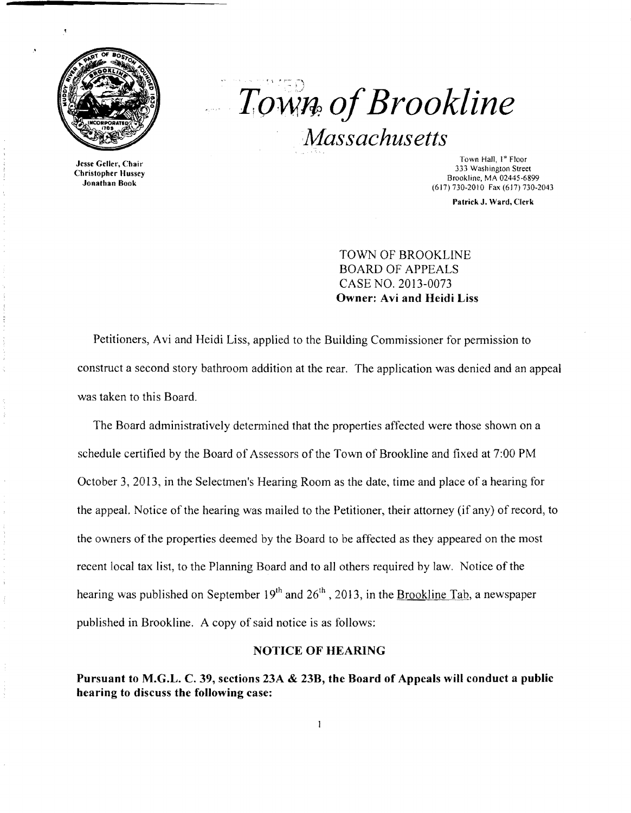

Jesse Geller, Chair Christopher Hussey Jonathan Book

# *Town. ofBrookline Massachusetts*

Town Hall, 1" Floor 333 Washington Street Brookline, MA 02445-6899 (617) 730-2010 Fax (617) 730-2043

Patrick J. Ward, Clerk

TOWN OF BROOKLINE BOARD OF APPEALS CASE NO. 2013-0073 Owner: Avi and Heidi Liss

Petitioners, Avi and Heidi Liss, applied to the Building Commissioner for permission to construct a second story bathroom addition at the rear. The application was denied and an appeal was taken to this Board.

The Board administratively determined that the properties affected were those shown on a schedule certified by the Board of Assessors of the Town of Brookline and fixed at 7:00 PM October 3, 2013, in the Selectmen's Hearing Room as the date, time and place of a hearing for the appeal. Notice of the hearing was mailed to the Petitioner, their attorney (if any) of record, to the owners of the properties deemed by the Board to be affected as they appeared on the most recent local tax list, to the Planning Board and to all others required by law. Notice of the hearing was published on September  $19<sup>th</sup>$  and  $26<sup>th</sup>$ , 2013, in the Brookline Tab, a newspaper published in Brookline. A copy of said notice is as follows:

#### NOTICE OF HEARING

Pursuant to M.G.L. C. 39, sections 23A & 23B, the Board of Appeals will conduct a public hearing to discuss the following case: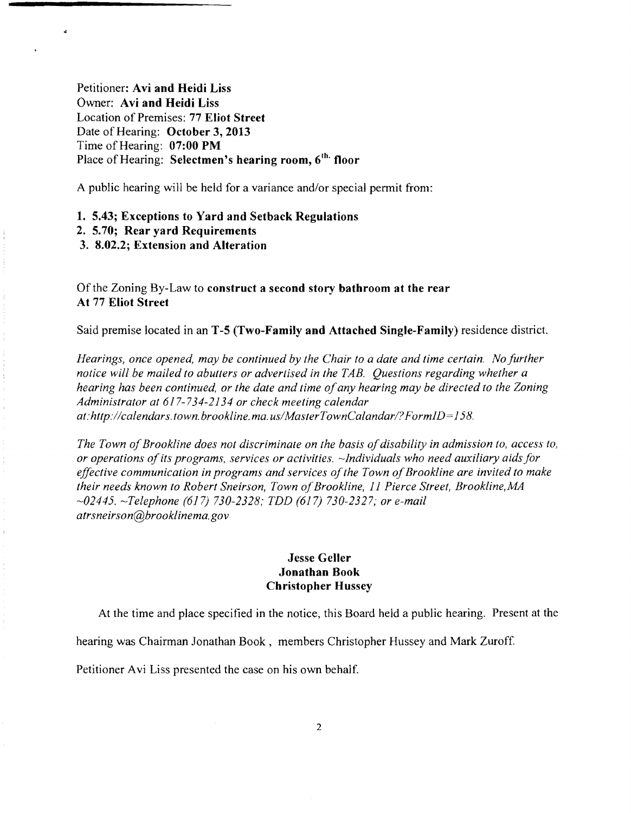Petitioner: Avi and Heidi Liss Owner: Avi and Heidi Liss Location of Premises: 77 Eliot Street Date of Hearing: October 3, 2013 Time of Hearing: 07:00 PM Place of Hearing: Selectmen's hearing room, 6<sup>th.</sup> floor

A public hearing will be held for a variance and/or special permit from:

1. 5.43; Exceptions to Yard and Setback Regulations

2. 5.70; Rear yard Requirements

 $\ddot{ }$ 

3. 8.02.2; Extension and Alteration

Of the Zoning By-Law to construct a second story bathroom at the rear At 77 Eliot Street

Said premise located in an T-5 (Two-Family and Attached Single-Family) residence district.

*Hearings, once opened, may be continued by the Chair to a date and time certain. No further notice will be mailed to abutters or advertised in the TAB. Questions regarding whether a hearing has been continued, or the date and time ofany hearing may be directed to the Zoning Administrator at* 617-734-2134 *or check meeting calendar at: http://calendars.town.brookline.ma.usIMasterTownCalandarl? FormID= 158.* 

*The Town of Brookline does not discriminate on the basis of disability in admission to, access to, or operations ofits programs, services or activities. -Individuals who need auxiliary aids for*  effective communication in programs and services of the Town of Brookline are invited to make *their needs known to Robert Sneirson, Town ofBrookline,* 11 *Pierce Street, Brookline,MA -02445. -Telephone* (617) *730-2328; TDD* (617) *730-2327; or e-mail atrsneirson@brooklinema.gov* 

### Jesse Geller Jonathan Book Christopher Hussey

At the time and place specified in the notice, this Board held a public hearing. Present at the

hearing was Chairman Jonathan Book, members Christopher Hussey and Mark Zuroff.

Petitioner Avi Liss presented the case on his own behalf.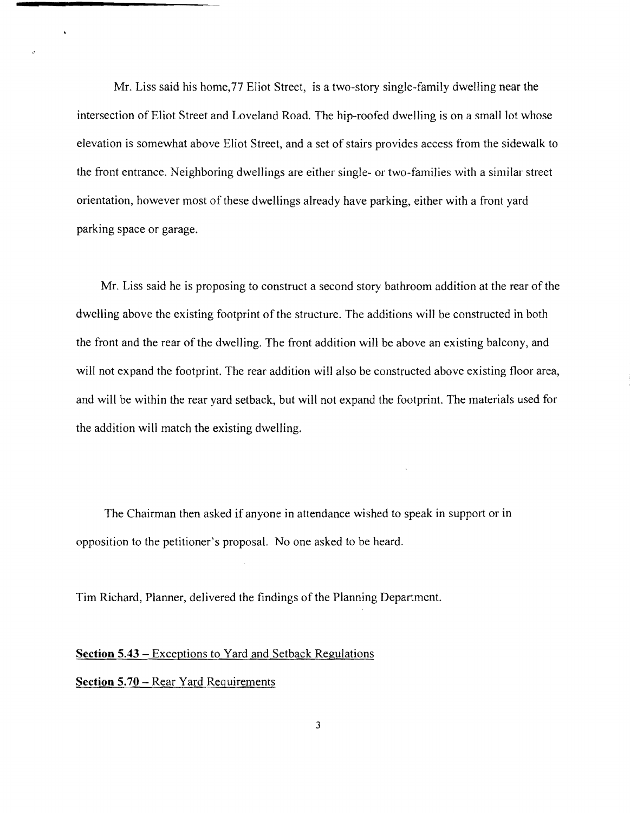Mr. Liss said his home,77 Eliot Street, is a two-story single-family dwelling near the intersection of Eliot Street and Loveland Road. The hip-roofed dwelling is on a small lot whose elevation is somewhat above Eliot Street, and a set of stairs provides access from the sidewalk to the front entrance. Neighboring dwellings are either single- or two-families with a similar street orientation, however most of these dwellings already have parking, either with a front yard parking space or garage.

Mr. Liss said he is proposing to construct a second story bathroom addition at the rear of the dwelling above the existing footprint of the structure. The additions will be constructed in both the front and the rear of the dwelling. The front addition will be above an existing balcony, and will not expand the footprint. The rear addition will also be constructed above existing floor area, and will be within the rear yard setback, but will not expand the footprint. The materials used for the addition will match the existing dwelling.

The Chairman then asked if anyone in attendance wished to speak in support or in opposition to the petitioner's proposal. No one asked to be heard.

Tim Richard, Planner, delivered the findings of the Planning Department.

#### **Section 5.43** - Exceptions to Yard and Setback Regulations

## **Section 5.70 - Rear Yard Requirements**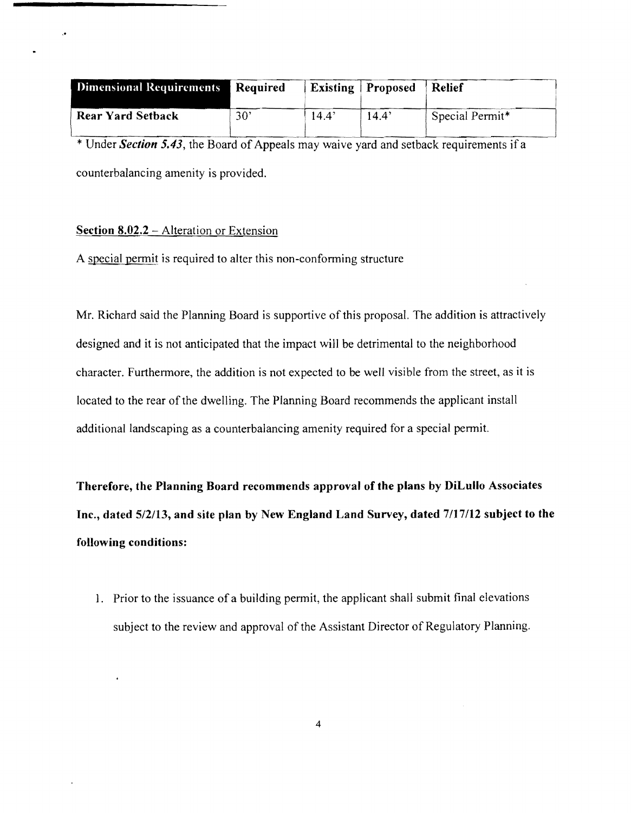| <b>Dimensional Requirements</b> | Required |                | <b>Existing</b> Proposed | <b>Relief</b>   |
|---------------------------------|----------|----------------|--------------------------|-----------------|
| <b>Rear Yard Setback</b>        | 30'      | $14.4^{\circ}$ | 14.4'                    | Special Permit* |

\* Under *Section* 5.43, the Board of Appeals may waive yard and setback requirements if a counterbalancing amenity is provided.

#### Section  $8.02.2$  – Alteration or Extension

A special permit is required to alter this non-conforming structure

Mr. Richard said the Planning Board is supportive of this proposal. The addition is attractively designed and it is not anticipated that the impact will be detrimental to the neighborhood character. Furthermore, the addition is not expected to be well visible from the street, as it is located to the rear of the dwelling. The Planning Board recommends the applicant install additional landscaping as a counterbalancing amenity required for a special permit.

Therefore, the Planning Board recommends approval of the plans by DiLullo Associates Inc., dated 5/2/13, and site plan by New England Land Survey, dated 7/17/12 subject to the following conditions:

1. Prior to the issuance of a building permit, the applicant shall submit final elevations subject to the review and approval of the Assistant Director of Regulatory Planning.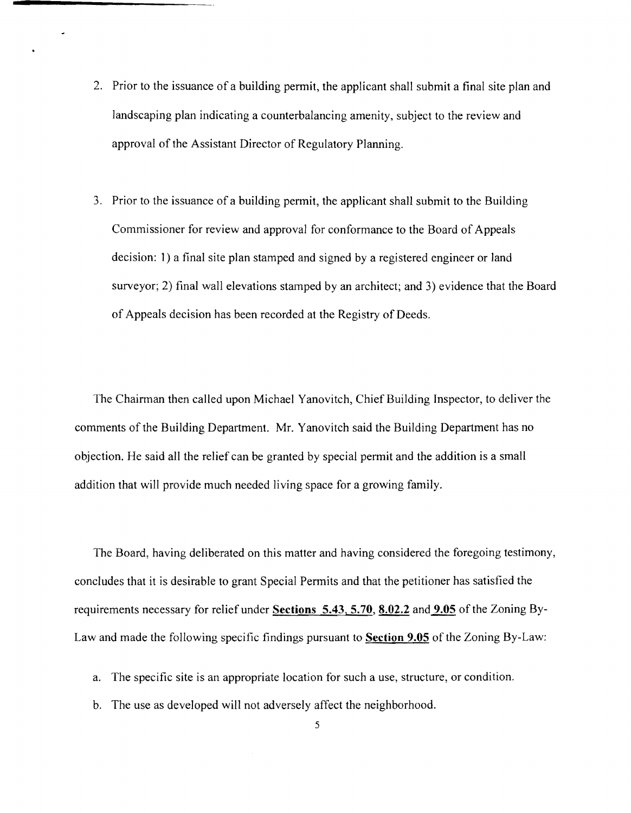- 2. Prior to the issuance of a building permit, the applicant shall submit a final site plan and landscaping plan indicating a counterbalancing amenity, subject to the review and approval of the Assistant Director of Regulatory Planning.
- 3. Prior to the issuance of a building permit, the applicant shall submit to the Building Commissioner for review and approval for conformance to the Board of Appeals decision: I) a final site plan stamped and signed by a registered engineer or land surveyor; 2) final wall elevations stamped by an architect; and 3) evidence that the Board of Appeals decision has been recorded at the Registry of Deeds.

The Chairman then called upon Michael Yanovitch, Chief Building Inspector, to deliver the comments of the Building Department. Mr. Yanovitch said the Building Department has no objection. He said all the relief can be granted by special permit and the addition is a small addition that will provide much needed living space for a growing family.

The Board, having deliberated on this matter and having considered the foregoing testimony, concludes that it is desirable to grant Special Permits and that the petitioner has satisfied the requirements necessary for relief under **Sections 5.43, 5.70, 8.02.2** and **9.05** of the Zoning By-Law and made the following specific findings pursuant to **Section 9.05** of the Zoning By-Law:

- a. The specific site is an appropriate location for such a use, structure, or condition.
- b. The use as developed will not adversely affect the neighborhood.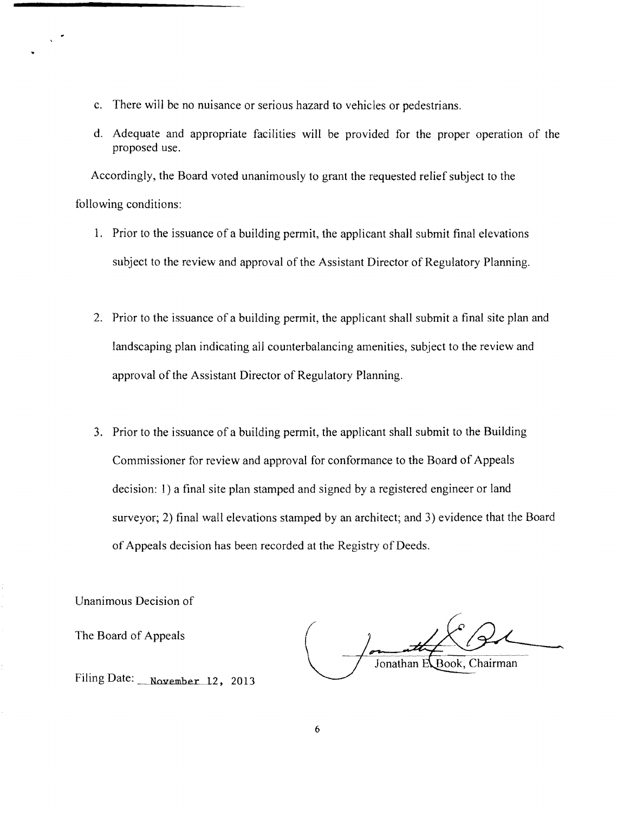- c. There will be no nuisance or serious hazard to vehicles or pedestrians.
- d. Adequate and appropriate facilities will be provided for the proper operation of the proposed use.

Accordingly, the Board voted unanimously to grant the requested relief subject to the following conditions:

- 1. Prior to the issuance of a building permit, the applicant shall submit final elevations subject to the review and approval of the Assistant Director of Regulatory Planning.
- 2. Prior to the issuance of a building permit, the applicant shall submit a final site plan and landscaping plan indicating all counterbalancing amenities, subject to the review and approval of the Assistant Director of Regulatory Planning.
- 3. Prior to the issuance of a building permit, the applicant shall submit to the Building Commissioner for review and approval for conformance to the Board of Appeals decision: 1) a final site plan stamped and signed by a registered engineer or land surveyor; 2) final wall elevations stamped by an architect; and 3) evidence that the Board of Appeals decision has been recorded at the Registry of Deeds.

Unanimous Decision of

The Board of Appeals

Jonathan E Book, Chairman

Filing Date: November 12, 2013